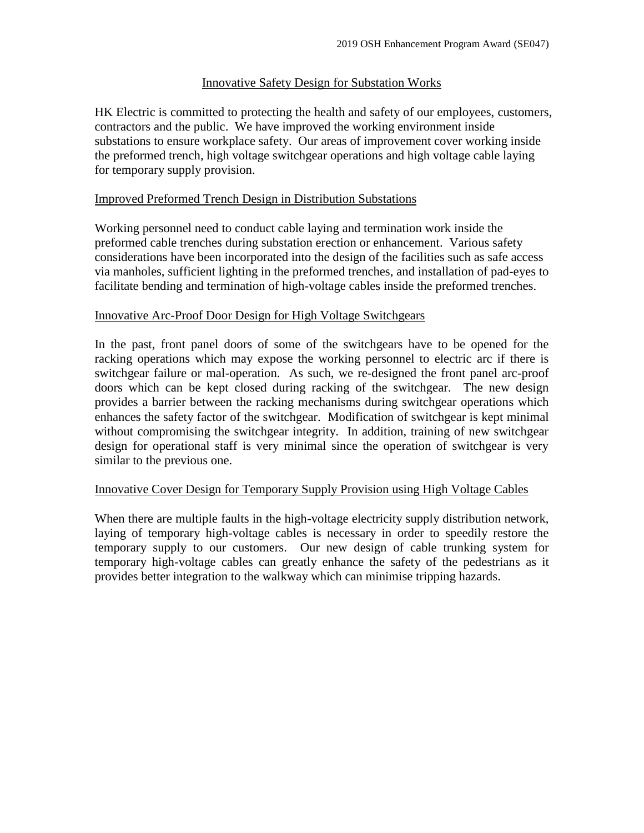# Innovative Safety Design for Substation Works

HK Electric is committed to protecting the health and safety of our employees, customers, contractors and the public. We have improved the working environment inside substations to ensure workplace safety. Our areas of improvement cover working inside the preformed trench, high voltage switchgear operations and high voltage cable laying for temporary supply provision.

# Improved Preformed Trench Design in Distribution Substations

Working personnel need to conduct cable laying and termination work inside the preformed cable trenches during substation erection or enhancement. Various safety considerations have been incorporated into the design of the facilities such as safe access via manholes, sufficient lighting in the preformed trenches, and installation of pad-eyes to facilitate bending and termination of high-voltage cables inside the preformed trenches.

# Innovative Arc-Proof Door Design for High Voltage Switchgears

In the past, front panel doors of some of the switchgears have to be opened for the racking operations which may expose the working personnel to electric arc if there is switchgear failure or mal-operation. As such, we re-designed the front panel arc-proof doors which can be kept closed during racking of the switchgear. The new design provides a barrier between the racking mechanisms during switchgear operations which enhances the safety factor of the switchgear. Modification of switchgear is kept minimal without compromising the switchgear integrity. In addition, training of new switchgear design for operational staff is very minimal since the operation of switchgear is very similar to the previous one.

# Innovative Cover Design for Temporary Supply Provision using High Voltage Cables

When there are multiple faults in the high-voltage electricity supply distribution network, laying of temporary high-voltage cables is necessary in order to speedily restore the temporary supply to our customers. Our new design of cable trunking system for temporary high-voltage cables can greatly enhance the safety of the pedestrians as it provides better integration to the walkway which can minimise tripping hazards.